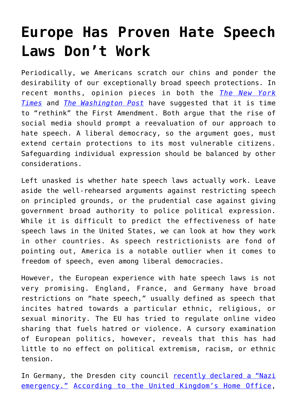## **[Europe Has Proven Hate Speech](https://intellectualtakeout.org/2019/11/europe-has-proven-hate-speech-laws-dont-work/) [Laws Don't Work](https://intellectualtakeout.org/2019/11/europe-has-proven-hate-speech-laws-dont-work/)**

Periodically, we Americans scratch our chins and ponder the desirability of our exceptionally broad speech protections. In recent months, opinion pieces in both the *[The New York](https://www.nytimes.com/2019/10/04/opinion/sunday/free-speech-social-media-violence.html) [Times](https://www.nytimes.com/2019/10/04/opinion/sunday/free-speech-social-media-violence.html)* and *[The Washington Post](https://www.washingtonpost.com/opinions/2019/10/29/why-america-needs-hate-speech-law/)* have suggested that it is time to "rethink" the First Amendment. Both argue that the rise of social media should prompt a reevaluation of our approach to hate speech. A liberal democracy, so the argument goes, must extend certain protections to its most vulnerable citizens. Safeguarding individual expression should be balanced by other considerations.

Left unasked is whether hate speech laws actually work. Leave aside the well-rehearsed arguments against restricting speech on principled grounds, or the prudential case against giving government broad authority to police political expression. While it is difficult to predict the effectiveness of hate speech laws in the United States, we can look at how they work in other countries. As speech restrictionists are fond of pointing out, America is a notable outlier when it comes to freedom of speech, even among liberal democracies.

However, the European experience with hate speech laws is not very promising. England, France, and Germany have broad restrictions on "hate speech," usually defined as speech that incites hatred towards a particular ethnic, religious, or sexual minority. The EU has tried to regulate online video sharing that fuels hatred or violence. A cursory examination of European politics, however, reveals that this has had little to no effect on political extremism, racism, or ethnic tension.

In Germany, the Dresden city council [recently declared a "Nazi](https://edition.cnn.com/2019/11/02/europe/nazi-emergency-dresden-grm-intl/index.html) [emergency."](https://edition.cnn.com/2019/11/02/europe/nazi-emergency-dresden-grm-intl/index.html) [According to the United Kingdom's Home Office,](https://www.theguardian.com/society/2019/oct/15/hate-crimes-double-england-wales)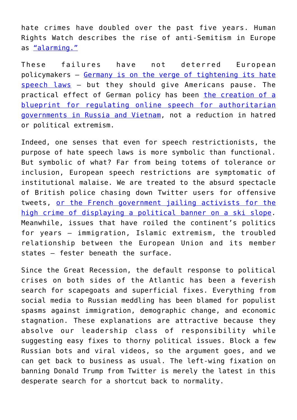hate crimes have doubled over the past five years. Human Rights Watch describes the rise of anti-Semitism in Europe as ["alarming."](https://www.hrw.org/news/2019/06/04/alarming-rise-anti-semitism-europe)

These failures have not deterred European policymakers – [Germany is on the verge of tightening its hate](https://www.nytimes.com/2019/10/30/world/europe/germany-gun-hate-speech-laws.html) [speech laws](https://www.nytimes.com/2019/10/30/world/europe/germany-gun-hate-speech-laws.html) – but they should give Americans pause. The practical effect of German policy has been [the creation of a](https://foreignpolicy.com/2019/11/06/germany-online-crackdowns-inspired-the-worlds-dictators-russia-venezuela-india/) [blueprint for regulating online speech for authoritarian](https://foreignpolicy.com/2019/11/06/germany-online-crackdowns-inspired-the-worlds-dictators-russia-venezuela-india/) [governments in Russia and Vietnam,](https://foreignpolicy.com/2019/11/06/germany-online-crackdowns-inspired-the-worlds-dictators-russia-venezuela-india/) not a reduction in hatred or political extremism.

Indeed, one senses that even for speech restrictionists, the purpose of hate speech laws is more symbolic than functional. But symbolic of what? Far from being totems of tolerance or inclusion, European speech restrictions are symptomatic of institutional malaise. We are treated to the absurd spectacle of British police chasing down Twitter users for offensive tweets, [or the French government jailing activists for the](https://www.theguardian.com/world/2019/aug/29/french-court-jails-far-right-activists-over-anti-migrant-alps-stunt) [high crime of displaying a political banner on a ski slope.](https://www.theguardian.com/world/2019/aug/29/french-court-jails-far-right-activists-over-anti-migrant-alps-stunt) Meanwhile, issues that have roiled the continent's politics for years – immigration, Islamic extremism, the troubled relationship between the European Union and its member states – fester beneath the surface.

Since the Great Recession, the default response to political crises on both sides of the Atlantic has been a feverish search for scapegoats and superficial fixes. Everything from social media to Russian meddling has been blamed for populist spasms against immigration, demographic change, and economic stagnation. These explanations are attractive because they absolve our leadership class of responsibility while suggesting easy fixes to thorny political issues. Block a few Russian bots and viral videos, so the argument goes, and we can get back to business as usual. The left-wing fixation on banning Donald Trump from Twitter is merely the latest in this desperate search for a shortcut back to normality.